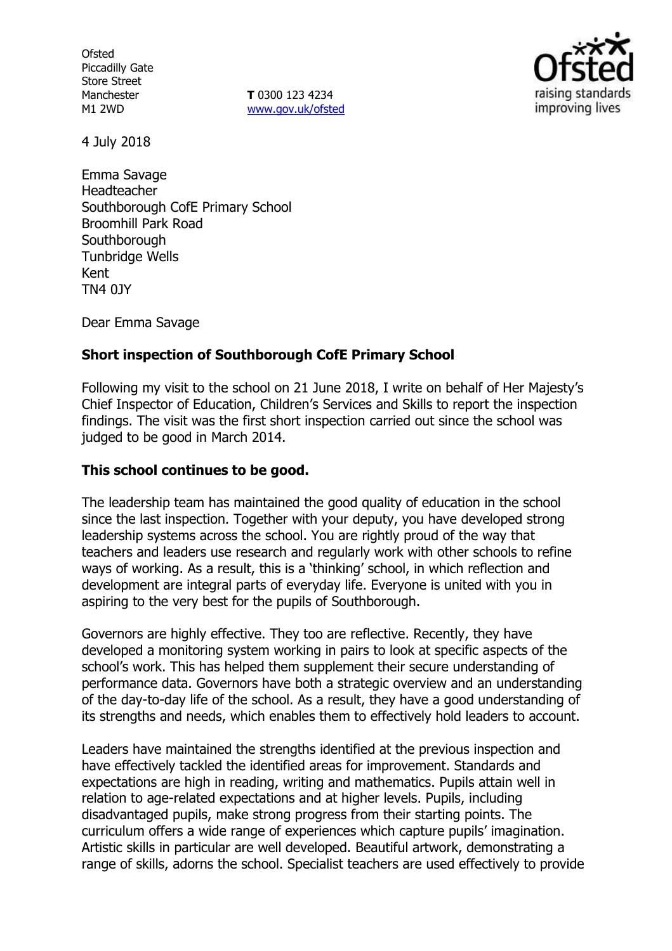**Ofsted** Piccadilly Gate Store Street Manchester M1 2WD

**T** 0300 123 4234 www.gov.uk/ofsted



4 July 2018

Emma Savage Headteacher Southborough CofE Primary School Broomhill Park Road **Southborough** Tunbridge Wells Kent TN4 0JY

Dear Emma Savage

# **Short inspection of Southborough CofE Primary School**

Following my visit to the school on 21 June 2018, I write on behalf of Her Majesty's Chief Inspector of Education, Children's Services and Skills to report the inspection findings. The visit was the first short inspection carried out since the school was judged to be good in March 2014.

## **This school continues to be good.**

The leadership team has maintained the good quality of education in the school since the last inspection. Together with your deputy, you have developed strong leadership systems across the school. You are rightly proud of the way that teachers and leaders use research and regularly work with other schools to refine ways of working. As a result, this is a 'thinking' school, in which reflection and development are integral parts of everyday life. Everyone is united with you in aspiring to the very best for the pupils of Southborough.

Governors are highly effective. They too are reflective. Recently, they have developed a monitoring system working in pairs to look at specific aspects of the school's work. This has helped them supplement their secure understanding of performance data. Governors have both a strategic overview and an understanding of the day-to-day life of the school. As a result, they have a good understanding of its strengths and needs, which enables them to effectively hold leaders to account.

Leaders have maintained the strengths identified at the previous inspection and have effectively tackled the identified areas for improvement. Standards and expectations are high in reading, writing and mathematics. Pupils attain well in relation to age-related expectations and at higher levels. Pupils, including disadvantaged pupils, make strong progress from their starting points. The curriculum offers a wide range of experiences which capture pupils' imagination. Artistic skills in particular are well developed. Beautiful artwork, demonstrating a range of skills, adorns the school. Specialist teachers are used effectively to provide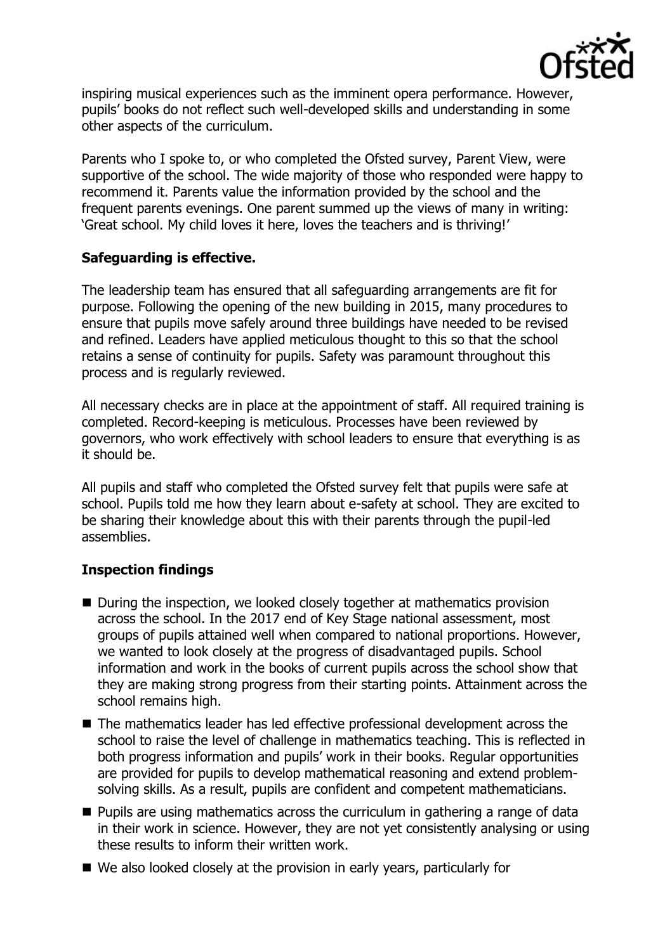

inspiring musical experiences such as the imminent opera performance. However, pupils' books do not reflect such well-developed skills and understanding in some other aspects of the curriculum.

Parents who I spoke to, or who completed the Ofsted survey, Parent View, were supportive of the school. The wide majority of those who responded were happy to recommend it. Parents value the information provided by the school and the frequent parents evenings. One parent summed up the views of many in writing: 'Great school. My child loves it here, loves the teachers and is thriving!'

# **Safeguarding is effective.**

The leadership team has ensured that all safeguarding arrangements are fit for purpose. Following the opening of the new building in 2015, many procedures to ensure that pupils move safely around three buildings have needed to be revised and refined. Leaders have applied meticulous thought to this so that the school retains a sense of continuity for pupils. Safety was paramount throughout this process and is regularly reviewed.

All necessary checks are in place at the appointment of staff. All required training is completed. Record-keeping is meticulous. Processes have been reviewed by governors, who work effectively with school leaders to ensure that everything is as it should be.

All pupils and staff who completed the Ofsted survey felt that pupils were safe at school. Pupils told me how they learn about e-safety at school. They are excited to be sharing their knowledge about this with their parents through the pupil-led assemblies.

# **Inspection findings**

- During the inspection, we looked closely together at mathematics provision across the school. In the 2017 end of Key Stage national assessment, most groups of pupils attained well when compared to national proportions. However, we wanted to look closely at the progress of disadvantaged pupils. School information and work in the books of current pupils across the school show that they are making strong progress from their starting points. Attainment across the school remains high.
- The mathematics leader has led effective professional development across the school to raise the level of challenge in mathematics teaching. This is reflected in both progress information and pupils' work in their books. Regular opportunities are provided for pupils to develop mathematical reasoning and extend problemsolving skills. As a result, pupils are confident and competent mathematicians.
- **Pupils are using mathematics across the curriculum in gathering a range of data** in their work in science. However, they are not yet consistently analysing or using these results to inform their written work.
- We also looked closely at the provision in early years, particularly for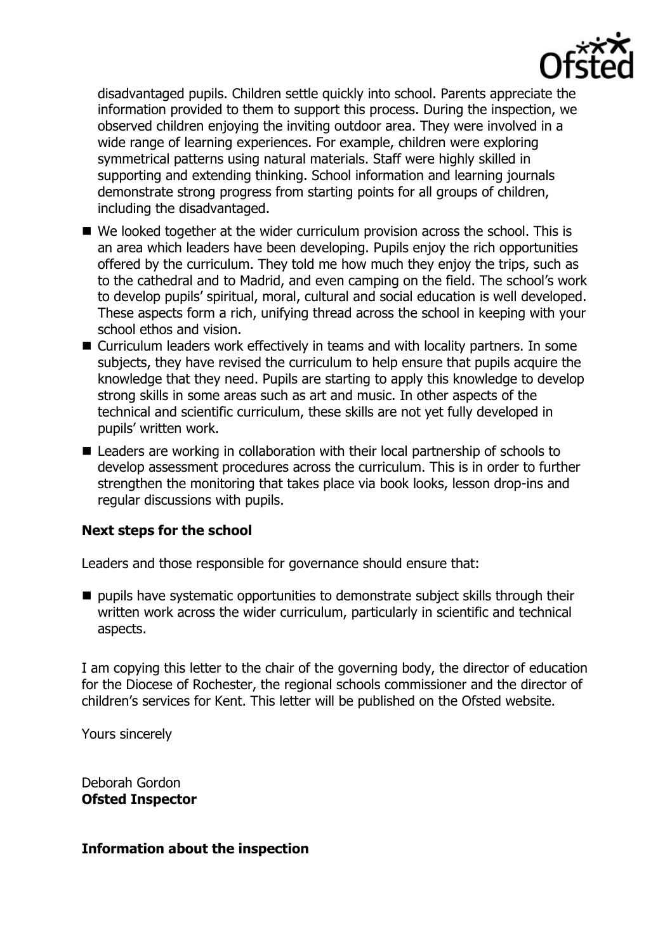

disadvantaged pupils. Children settle quickly into school. Parents appreciate the information provided to them to support this process. During the inspection, we observed children enjoying the inviting outdoor area. They were involved in a wide range of learning experiences. For example, children were exploring symmetrical patterns using natural materials. Staff were highly skilled in supporting and extending thinking. School information and learning journals demonstrate strong progress from starting points for all groups of children, including the disadvantaged.

- We looked together at the wider curriculum provision across the school. This is an area which leaders have been developing. Pupils enjoy the rich opportunities offered by the curriculum. They told me how much they enjoy the trips, such as to the cathedral and to Madrid, and even camping on the field. The school's work to develop pupils' spiritual, moral, cultural and social education is well developed. These aspects form a rich, unifying thread across the school in keeping with your school ethos and vision.
- Curriculum leaders work effectively in teams and with locality partners. In some subjects, they have revised the curriculum to help ensure that pupils acquire the knowledge that they need. Pupils are starting to apply this knowledge to develop strong skills in some areas such as art and music. In other aspects of the technical and scientific curriculum, these skills are not yet fully developed in pupils' written work.
- Leaders are working in collaboration with their local partnership of schools to develop assessment procedures across the curriculum. This is in order to further strengthen the monitoring that takes place via book looks, lesson drop-ins and regular discussions with pupils.

## **Next steps for the school**

Leaders and those responsible for governance should ensure that:

 $\blacksquare$  pupils have systematic opportunities to demonstrate subject skills through their written work across the wider curriculum, particularly in scientific and technical aspects.

I am copying this letter to the chair of the governing body, the director of education for the Diocese of Rochester, the regional schools commissioner and the director of children's services for Kent. This letter will be published on the Ofsted website.

Yours sincerely

Deborah Gordon **Ofsted Inspector**

#### **Information about the inspection**